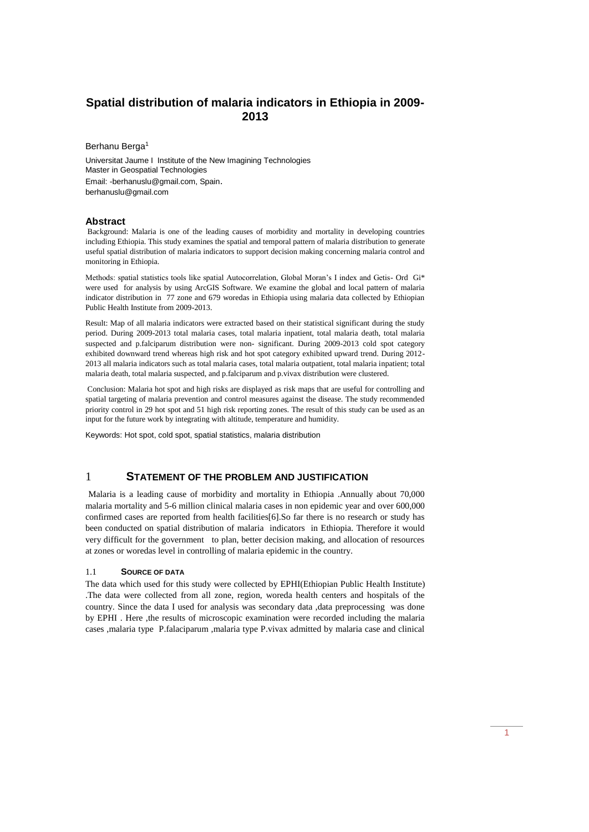# **Spatial distribution of malaria indicators in Ethiopia in 2009- 2013**

Berhanu Berga<sup>1</sup>

Universitat Jaume I Institute of the New Imagining Technologies Master in Geospatial Technologies Email: -berhanuslu@gmail.com, Spain. berhanuslu@gmail.com

#### **Abstract**

Background: Malaria is one of the leading causes of morbidity and mortality in developing countries including Ethiopia. This study examines the spatial and temporal pattern of malaria distribution to generate useful spatial distribution of malaria indicators to support decision making concerning malaria control and monitoring in Ethiopia.

Methods: spatial statistics tools like spatial Autocorrelation, Global Moran's I index and Getis- Ord Gi\* were used for analysis by using ArcGIS Software. We examine the global and local pattern of malaria indicator distribution in 77 zone and 679 woredas in Ethiopia using malaria data collected by Ethiopian Public Health Institute from 2009-2013.

Result: Map of all malaria indicators were extracted based on their statistical significant during the study period. During 2009-2013 total malaria cases, total malaria inpatient, total malaria death, total malaria suspected and p.falciparum distribution were non- significant. During 2009-2013 cold spot category exhibited downward trend whereas high risk and hot spot category exhibited upward trend. During 2012- 2013 all malaria indicators such as total malaria cases, total malaria outpatient, total malaria inpatient; total malaria death, total malaria suspected, and p.falciparum and p.vivax distribution were clustered.

Conclusion: Malaria hot spot and high risks are displayed as risk maps that are useful for controlling and spatial targeting of malaria prevention and control measures against the disease. The study recommended priority control in 29 hot spot and 51 high risk reporting zones. The result of this study can be used as an input for the future work by integrating with altitude, temperature and humidity.

Keywords: Hot spot, cold spot, spatial statistics, malaria distribution

# 1 **STATEMENT OF THE PROBLEM AND JUSTIFICATION**

Malaria is a leading cause of morbidity and mortality in Ethiopia .Annually about 70,000 malaria mortality and 5-6 million clinical malaria cases in non epidemic year and over 600,000 confirmed cases are reported from health facilities[6].So far there is no research or study has been conducted on spatial distribution of malaria indicators in Ethiopia. Therefore it would very difficult for the government to plan, better decision making, and allocation of resources at zones or woredas level in controlling of malaria epidemic in the country.

#### 1.1 **SOURCE OF DATA**

The data which used for this study were collected by EPHI(Ethiopian Public Health Institute) .The data were collected from all zone, region, woreda health centers and hospitals of the country. Since the data I used for analysis was secondary data, data preprocessing was done by EPHI . Here ,the results of microscopic examination were recorded including the malaria cases ,malaria type P.falaciparum ,malaria type P.vivax admitted by malaria case and clinical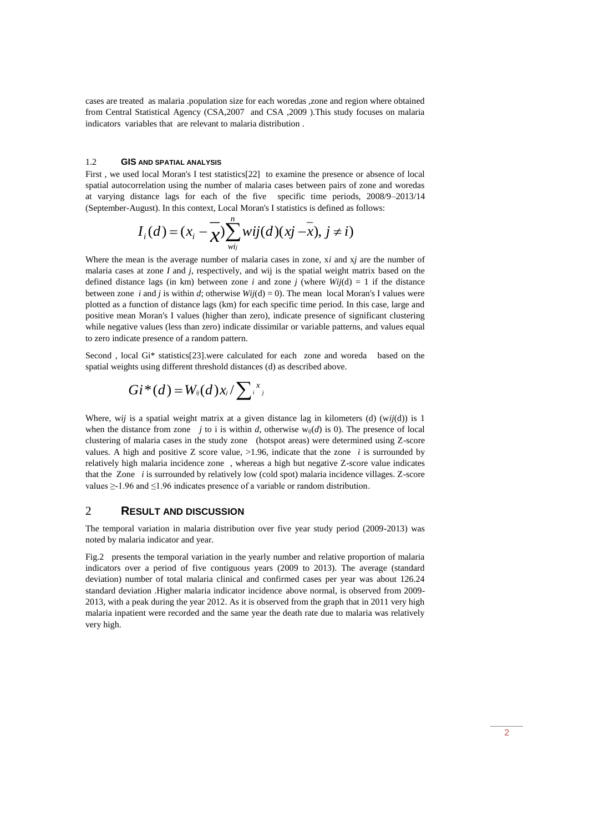cases are treated as malaria .population size for each woredas ,zone and region where obtained from Central Statistical Agency (CSA,2007 and CSA ,2009 ).This study focuses on malaria indicators variables that are relevant to malaria distribution .

#### 1.2 **GIS AND SPATIAL ANALYSIS**

First , we used local Moran's I test statistics[22] to examine the presence or absence of local spatial autocorrelation using the number of malaria cases between pairs of zone and woredas at varying distance lags for each of the five specific time periods, 2008/9–2013/14 (September-August). In this context, Local Moran's I statistics is defined as follows:

$$
I_i(d) = (x_i - \overline{\chi}) \sum_{wij}^n wij(d)(xj - \overline{x}), j \neq i)
$$

Where the mean is the average number of malaria cases in zone, x*i* and x*j* are the number of malaria cases at zone *I* and *j*, respectively, and wij is the spatial weight matrix based on the defined distance lags (in km) between zone *i* and zone *j* (where  $Wij(d) = 1$  if the distance between zone *i* and *j* is within *d*; otherwise  $Wij(d) = 0$ . The mean local Moran's I values were plotted as a function of distance lags (km) for each specific time period. In this case, large and positive mean Moran's I values (higher than zero), indicate presence of significant clustering while negative values (less than zero) indicate dissimilar or variable patterns, and values equal to zero indicate presence of a random pattern.

Second, local Gi\* statistics[23].were calculated for each zone and woreda based on the spatial weights using different threshold distances (d) as described above.

$$
Gi^*(d) = W_{ij}(d) x_j / \sum_i x_j
$$

Where, w*ij* is a spatial weight matrix at a given distance lag in kilometers (d) (w*ij*(d)) is 1 when the distance from zone *j* to i is within *d*, otherwise  $w_{ij}(d)$  is 0). The presence of local clustering of malaria cases in the study zone (hotspot areas) were determined using Z-score values. A high and positive Z score value,  $>1.96$ , indicate that the zone *i* is surrounded by relatively high malaria incidence zone , whereas a high but negative Z-score value indicates that the Zone *i* is surrounded by relatively low (cold spot) malaria incidence villages. Z-score values ≥-1.96 and ≤1.96 indicates presence of a variable or random distribution.

## 2 **RESULT AND DISCUSSION**

The temporal variation in malaria distribution over five year study period (2009-2013) was noted by malaria indicator and year.

Fig.2 presents the temporal variation in the yearly number and relative proportion of malaria indicators over a period of five contiguous years (2009 to 2013). The average (standard deviation) number of total malaria clinical and confirmed cases per year was about 126.24 standard deviation .Higher malaria indicator incidence above normal, is observed from 2009- 2013, with a peak during the year 2012. As it is observed from the graph that in 2011 very high malaria inpatient were recorded and the same year the death rate due to malaria was relatively very high.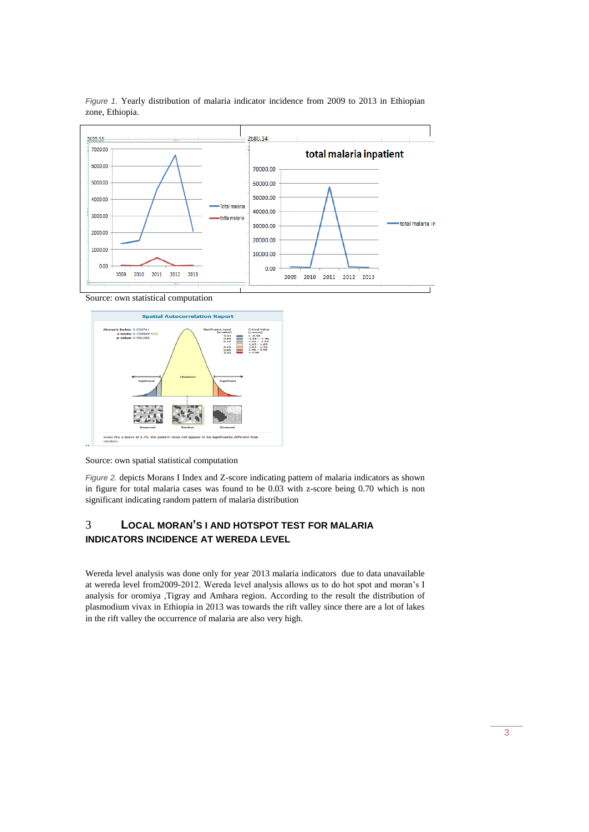

*Figure 1.* Yearly distribution of malaria indicator incidence from 2009 to 2013 in Ethiopian zone, Ethiopia.

Source: own statistical computation



Source: own spatial statistical computation

*Figure 2.* depicts Morans I Index and Z-score indicating pattern of malaria indicators as shown in figure for total malaria cases was found to be 0.03 with z-score being 0.70 which is non significant indicating random pattern of malaria distribution

# 3 **LOCAL MORAN'S I AND HOTSPOT TEST FOR MALARIA INDICATORS INCIDENCE AT WEREDA LEVEL**

Wereda level analysis was done only for year 2013 malaria indicators due to data unavailable at wereda level from2009-2012. Wereda level analysis allows us to do hot spot and moran's I analysis for oromiya ,Tigray and Amhara region. According to the result the distribution of plasmodium vivax in Ethiopia in 2013 was towards the rift valley since there are a lot of lakes in the rift valley the occurrence of malaria are also very high.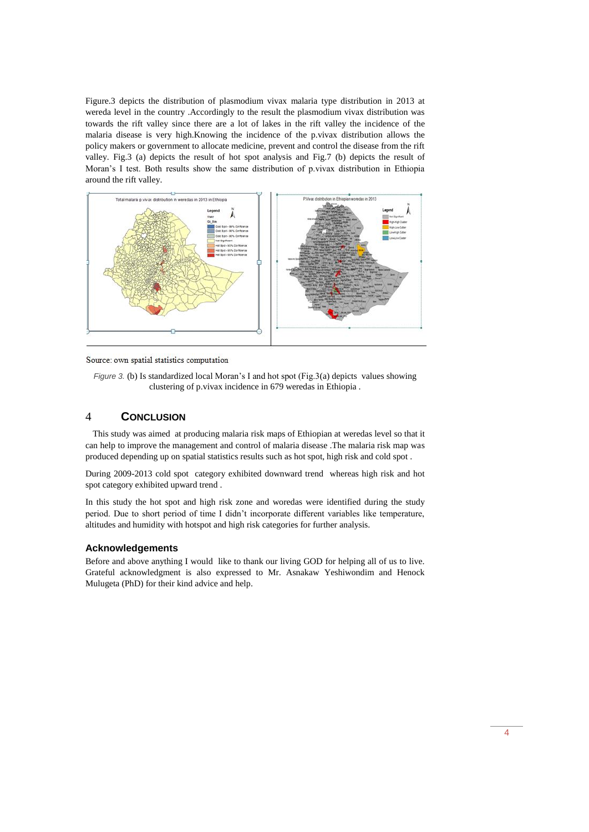Figure.3 depicts the distribution of plasmodium vivax malaria type distribution in 2013 at wereda level in the country .Accordingly to the result the plasmodium vivax distribution was towards the rift valley since there are a lot of lakes in the rift valley the incidence of the malaria disease is very high.Knowing the incidence of the p.vivax distribution allows the policy makers or government to allocate medicine, prevent and control the disease from the rift valley. Fig.3 (a) depicts the result of hot spot analysis and Fig.7 (b) depicts the result of Moran's I test. Both results show the same distribution of p.vivax distribution in Ethiopia around the rift valley.



Source: own spatial statistics computation

*Figure 3. (b)* Is standardized local Moran's I and hot spot (Fig.3(a) depicts values showing clustering of p.vivax incidence in 679 weredas in Ethiopia .

# 4 **CONCLUSION**

 This study was aimed at producing malaria risk maps of Ethiopian at weredas level so that it can help to improve the management and control of malaria disease .The malaria risk map was produced depending up on spatial statistics results such as hot spot, high risk and cold spot .

During 2009-2013 cold spot category exhibited downward trend whereas high risk and hot spot category exhibited upward trend .

In this study the hot spot and high risk zone and woredas were identified during the study period. Due to short period of time I didn't incorporate different variables like temperature, altitudes and humidity with hotspot and high risk categories for further analysis.

### **Acknowledgements**

Before and above anything I would like to thank our living GOD for helping all of us to live. Grateful acknowledgment is also expressed to Mr. Asnakaw Yeshiwondim and Henock Mulugeta (PhD) for their kind advice and help.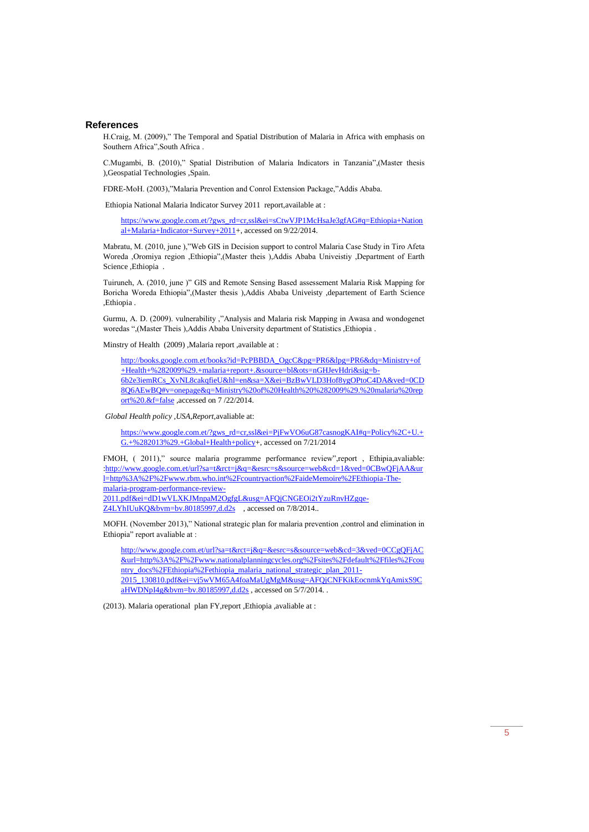### **References**

H.Craig, M. (2009)," The Temporal and Spatial Distribution of Malaria in Africa with emphasis on Southern Africa",South Africa .

C.Mugambi, B. (2010)," Spatial Distribution of Malaria Indicators in Tanzania",(Master thesis ),Geospatial Technologies ,Spain.

FDRE-MoH. (2003),"Malaria Prevention and Conrol Extension Package,"Addis Ababa.

Ethiopia National Malaria Indicator Survey 2011 report,available at :

[https://www.google.com.et/?gws\\_rd=cr,ssl&ei=sCtwVJP1McHsaJe3gfAG#q=Ethiopia+Nation](https://www.google.com.et/?gws_rd=cr,ssl&ei=sCtwVJP1McHsaJe3gfAG#q=Ethiopia+National+Malaria+Indicator+Survey+2011) [al+Malaria+Indicator+Survey+2011+](https://www.google.com.et/?gws_rd=cr,ssl&ei=sCtwVJP1McHsaJe3gfAG#q=Ethiopia+National+Malaria+Indicator+Survey+2011), accessed on 9/22/2014.

Mabratu, M. (2010, june ),"Web GIS in Decision support to control Malaria Case Study in Tiro Afeta Woreda ,Oromiya region ,Ethiopia",(Master theis ),Addis Ababa Univeistiy ,Department of Earth Science ,Ethiopia .

Tuiruneh, A. (2010, june )" GIS and Remote Sensing Based assessement Malaria Risk Mapping for Boricha Woreda Ethiopia",(Master thesis ),Addis Ababa Univeisty ,departement of Earth Science ,Ethiopia .

Gurmu, A. D. (2009). vulnerability ,"Analysis and Malaria risk Mapping in Awasa and wondogenet woredas ",(Master Theis ),Addis Ababa University department of Statistics ,Ethiopia .

Minstry of Health (2009) ,Malaria report ,available at :

[http://books.google.com.et/books?id=PcPBBDA\\_OgcC&pg=PR6&lpg=PR6&dq=Ministry+of](http://books.google.com.et/books?id=PcPBBDA_OgcC&pg=PR6&lpg=PR6&dq=Ministry+of+Health+%282009%29.+malaria+report+.&source=bl&ots=nGHJevHdri&sig=b-6b2e3iemRCs_XvNL8cakqfieU&hl=en&sa=X&ei=BzBwVLD3Hof8ygOPtoC4DA&ved=0CD8Q6AEwBQ#v=onepage&q=Ministry%20of%20Health%20%282009%29.%20malaria%20report%20.&f=false) [+Health+%282009%29.+malaria+report+.&source=bl&ots=nGHJevHdri&sig=b-](http://books.google.com.et/books?id=PcPBBDA_OgcC&pg=PR6&lpg=PR6&dq=Ministry+of+Health+%282009%29.+malaria+report+.&source=bl&ots=nGHJevHdri&sig=b-6b2e3iemRCs_XvNL8cakqfieU&hl=en&sa=X&ei=BzBwVLD3Hof8ygOPtoC4DA&ved=0CD8Q6AEwBQ#v=onepage&q=Ministry%20of%20Health%20%282009%29.%20malaria%20report%20.&f=false)[6b2e3iemRCs\\_XvNL8cakqfieU&hl=en&sa=X&ei=BzBwVLD3Hof8ygOPtoC4DA&ved=0CD](http://books.google.com.et/books?id=PcPBBDA_OgcC&pg=PR6&lpg=PR6&dq=Ministry+of+Health+%282009%29.+malaria+report+.&source=bl&ots=nGHJevHdri&sig=b-6b2e3iemRCs_XvNL8cakqfieU&hl=en&sa=X&ei=BzBwVLD3Hof8ygOPtoC4DA&ved=0CD8Q6AEwBQ#v=onepage&q=Ministry%20of%20Health%20%282009%29.%20malaria%20report%20.&f=false) [8Q6AEwBQ#v=onepage&q=Ministry%20of%20Health%20%282009%29.%20malaria%20rep](http://books.google.com.et/books?id=PcPBBDA_OgcC&pg=PR6&lpg=PR6&dq=Ministry+of+Health+%282009%29.+malaria+report+.&source=bl&ots=nGHJevHdri&sig=b-6b2e3iemRCs_XvNL8cakqfieU&hl=en&sa=X&ei=BzBwVLD3Hof8ygOPtoC4DA&ved=0CD8Q6AEwBQ#v=onepage&q=Ministry%20of%20Health%20%282009%29.%20malaria%20report%20.&f=false) [ort%20.&f=false](http://books.google.com.et/books?id=PcPBBDA_OgcC&pg=PR6&lpg=PR6&dq=Ministry+of+Health+%282009%29.+malaria+report+.&source=bl&ots=nGHJevHdri&sig=b-6b2e3iemRCs_XvNL8cakqfieU&hl=en&sa=X&ei=BzBwVLD3Hof8ygOPtoC4DA&ved=0CD8Q6AEwBQ#v=onepage&q=Ministry%20of%20Health%20%282009%29.%20malaria%20report%20.&f=false) ,accessed on 7 /22/2014.

*Global Health policy ,USA,Report,*avaliable at:

[https://www.google.com.et/?gws\\_rd=cr,ssl&ei=PjFwVO6uG87casnogKAI#q=Policy%2C+U.+](https://www.google.com.et/?gws_rd=cr,ssl&ei=PjFwVO6uG87casnogKAI#q=Policy%2C+U.+G.+%282013%29.+Global+Health+policy) [G.+%282013%29.+Global+Health+policy+](https://www.google.com.et/?gws_rd=cr,ssl&ei=PjFwVO6uG87casnogKAI#q=Policy%2C+U.+G.+%282013%29.+Global+Health+policy), accessed on 7/21/2014

FMOH, (2011)," source malaria programme performance review",report, Ethipia,avaliable: [:http://www.google.com.et/url?sa=t&rct=j&q=&esrc=s&source=web&cd=1&ved=0CBwQFjAA&ur](http://www.google.com.et/url?sa=t&rct=j&q=&esrc=s&source=web&cd=1&ved=0CBwQFjAA&url=http%3A%2F%2Fwww.rbm.who.int%2Fcountryaction%2FaideMemoire%2FEthiopia-The-malaria-program-performance-review-2011.pdf&ei=dD1wVLXKJMnpaM2OgfgL&usg=AFQjCNGEOi2tYzuRnvHZgqe-Z4LYhIUuKQ&bvm=bv.80185997,d.d2s) [l=http%3A%2F%2Fwww.rbm.who.int%2Fcountryaction%2FaideMemoire%2FEthiopia-The](http://www.google.com.et/url?sa=t&rct=j&q=&esrc=s&source=web&cd=1&ved=0CBwQFjAA&url=http%3A%2F%2Fwww.rbm.who.int%2Fcountryaction%2FaideMemoire%2FEthiopia-The-malaria-program-performance-review-2011.pdf&ei=dD1wVLXKJMnpaM2OgfgL&usg=AFQjCNGEOi2tYzuRnvHZgqe-Z4LYhIUuKQ&bvm=bv.80185997,d.d2s)[malaria-program-performance-review-](http://www.google.com.et/url?sa=t&rct=j&q=&esrc=s&source=web&cd=1&ved=0CBwQFjAA&url=http%3A%2F%2Fwww.rbm.who.int%2Fcountryaction%2FaideMemoire%2FEthiopia-The-malaria-program-performance-review-2011.pdf&ei=dD1wVLXKJMnpaM2OgfgL&usg=AFQjCNGEOi2tYzuRnvHZgqe-Z4LYhIUuKQ&bvm=bv.80185997,d.d2s)[2011.pdf&ei=dD1wVLXKJMnpaM2OgfgL&usg=AFQjCNGEOi2tYzuRnvHZgqe-](http://www.google.com.et/url?sa=t&rct=j&q=&esrc=s&source=web&cd=1&ved=0CBwQFjAA&url=http%3A%2F%2Fwww.rbm.who.int%2Fcountryaction%2FaideMemoire%2FEthiopia-The-malaria-program-performance-review-2011.pdf&ei=dD1wVLXKJMnpaM2OgfgL&usg=AFQjCNGEOi2tYzuRnvHZgqe-Z4LYhIUuKQ&bvm=bv.80185997,d.d2s)

[Z4LYhIUuKQ&bvm=bv.80185997,d.d2s](http://www.google.com.et/url?sa=t&rct=j&q=&esrc=s&source=web&cd=1&ved=0CBwQFjAA&url=http%3A%2F%2Fwww.rbm.who.int%2Fcountryaction%2FaideMemoire%2FEthiopia-The-malaria-program-performance-review-2011.pdf&ei=dD1wVLXKJMnpaM2OgfgL&usg=AFQjCNGEOi2tYzuRnvHZgqe-Z4LYhIUuKQ&bvm=bv.80185997,d.d2s) , accessed on 7/8/2014..

MOFH. (November 2013)," National strategic plan for malaria prevention ,control and elimination in Ethiopia" report avaliable at :

[http://www.google.com.et/url?sa=t&rct=j&q=&esrc=s&source=web&cd=3&ved=0CCgQFjAC](http://www.google.com.et/url?sa=t&rct=j&q=&esrc=s&source=web&cd=3&ved=0CCgQFjAC&url=http%3A%2F%2Fwww.nationalplanningcycles.org%2Fsites%2Fdefault%2Ffiles%2Fcountry_docs%2FEthiopia%2Fethiopia_malaria_national_strategic_plan_2011-2015_130810.pdf&ei=vj5wVM65A4foaMaUgMgM&usg=AFQjCNFKikEocnmkYqAmixS9CaHWDNpI4g&bvm=bv.80185997,d.d2s) [&url=http%3A%2F%2Fwww.nationalplanningcycles.org%2Fsites%2Fdefault%2Ffiles%2Fcou](http://www.google.com.et/url?sa=t&rct=j&q=&esrc=s&source=web&cd=3&ved=0CCgQFjAC&url=http%3A%2F%2Fwww.nationalplanningcycles.org%2Fsites%2Fdefault%2Ffiles%2Fcountry_docs%2FEthiopia%2Fethiopia_malaria_national_strategic_plan_2011-2015_130810.pdf&ei=vj5wVM65A4foaMaUgMgM&usg=AFQjCNFKikEocnmkYqAmixS9CaHWDNpI4g&bvm=bv.80185997,d.d2s) [ntry\\_docs%2FEthiopia%2Fethiopia\\_malaria\\_national\\_strategic\\_plan\\_2011-](http://www.google.com.et/url?sa=t&rct=j&q=&esrc=s&source=web&cd=3&ved=0CCgQFjAC&url=http%3A%2F%2Fwww.nationalplanningcycles.org%2Fsites%2Fdefault%2Ffiles%2Fcountry_docs%2FEthiopia%2Fethiopia_malaria_national_strategic_plan_2011-2015_130810.pdf&ei=vj5wVM65A4foaMaUgMgM&usg=AFQjCNFKikEocnmkYqAmixS9CaHWDNpI4g&bvm=bv.80185997,d.d2s) [2015\\_130810.pdf&ei=vj5wVM65A4foaMaUgMgM&usg=AFQjCNFKikEocnmkYqAmixS9C](http://www.google.com.et/url?sa=t&rct=j&q=&esrc=s&source=web&cd=3&ved=0CCgQFjAC&url=http%3A%2F%2Fwww.nationalplanningcycles.org%2Fsites%2Fdefault%2Ffiles%2Fcountry_docs%2FEthiopia%2Fethiopia_malaria_national_strategic_plan_2011-2015_130810.pdf&ei=vj5wVM65A4foaMaUgMgM&usg=AFQjCNFKikEocnmkYqAmixS9CaHWDNpI4g&bvm=bv.80185997,d.d2s) [aHWDNpI4g&bvm=bv.80185997,d.d2s](http://www.google.com.et/url?sa=t&rct=j&q=&esrc=s&source=web&cd=3&ved=0CCgQFjAC&url=http%3A%2F%2Fwww.nationalplanningcycles.org%2Fsites%2Fdefault%2Ffiles%2Fcountry_docs%2FEthiopia%2Fethiopia_malaria_national_strategic_plan_2011-2015_130810.pdf&ei=vj5wVM65A4foaMaUgMgM&usg=AFQjCNFKikEocnmkYqAmixS9CaHWDNpI4g&bvm=bv.80185997,d.d2s), accessed on 5/7/2014.

(2013). Malaria operational plan FY,report ,Ethiopia ,avaliable at :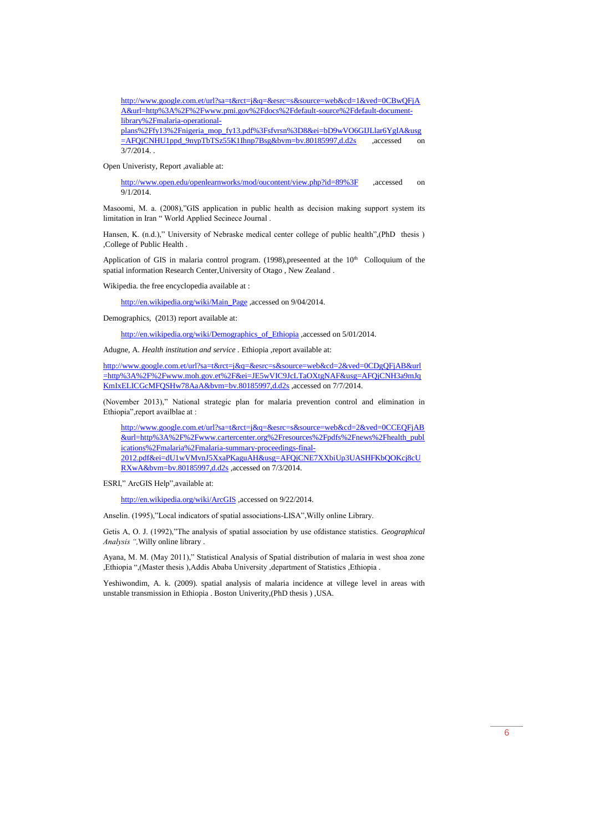[http://www.google.com.et/url?sa=t&rct=j&q=&esrc=s&source=web&cd=1&ved=0CBwQFjA](http://www.google.com.et/url?sa=t&rct=j&q=&esrc=s&source=web&cd=1&ved=0CBwQFjAA&url=http%3A%2F%2Fwww.pmi.gov%2Fdocs%2Fdefault-source%2Fdefault-document-library%2Fmalaria-operational-plans%2Ffy13%2Fnigeria_mop_fy13.pdf%3Fsfvrsn%3D8&ei=bD9wVO6GIJLlar6YglA&usg=AFQjCNHU1ppd_9nypTbTSz55K1Ihnp7Bsg&bvm=bv.80185997,d.d2s) [A&url=http%3A%2F%2Fwww.pmi.gov%2Fdocs%2Fdefault-source%2Fdefault-document](http://www.google.com.et/url?sa=t&rct=j&q=&esrc=s&source=web&cd=1&ved=0CBwQFjAA&url=http%3A%2F%2Fwww.pmi.gov%2Fdocs%2Fdefault-source%2Fdefault-document-library%2Fmalaria-operational-plans%2Ffy13%2Fnigeria_mop_fy13.pdf%3Fsfvrsn%3D8&ei=bD9wVO6GIJLlar6YglA&usg=AFQjCNHU1ppd_9nypTbTSz55K1Ihnp7Bsg&bvm=bv.80185997,d.d2s)[library%2Fmalaria-operational](http://www.google.com.et/url?sa=t&rct=j&q=&esrc=s&source=web&cd=1&ved=0CBwQFjAA&url=http%3A%2F%2Fwww.pmi.gov%2Fdocs%2Fdefault-source%2Fdefault-document-library%2Fmalaria-operational-plans%2Ffy13%2Fnigeria_mop_fy13.pdf%3Fsfvrsn%3D8&ei=bD9wVO6GIJLlar6YglA&usg=AFQjCNHU1ppd_9nypTbTSz55K1Ihnp7Bsg&bvm=bv.80185997,d.d2s)[plans%2Ffy13%2Fnigeria\\_mop\\_fy13.pdf%3Fsfvrsn%3D8&ei=bD9wVO6GIJLlar6YglA&usg](http://www.google.com.et/url?sa=t&rct=j&q=&esrc=s&source=web&cd=1&ved=0CBwQFjAA&url=http%3A%2F%2Fwww.pmi.gov%2Fdocs%2Fdefault-source%2Fdefault-document-library%2Fmalaria-operational-plans%2Ffy13%2Fnigeria_mop_fy13.pdf%3Fsfvrsn%3D8&ei=bD9wVO6GIJLlar6YglA&usg=AFQjCNHU1ppd_9nypTbTSz55K1Ihnp7Bsg&bvm=bv.80185997,d.d2s)

[=AFQjCNHU1ppd\\_9nypTbTSz55K1Ihnp7Bsg&bvm=bv.80185997,d.d2s](http://www.google.com.et/url?sa=t&rct=j&q=&esrc=s&source=web&cd=1&ved=0CBwQFjAA&url=http%3A%2F%2Fwww.pmi.gov%2Fdocs%2Fdefault-source%2Fdefault-document-library%2Fmalaria-operational-plans%2Ffy13%2Fnigeria_mop_fy13.pdf%3Fsfvrsn%3D8&ei=bD9wVO6GIJLlar6YglA&usg=AFQjCNHU1ppd_9nypTbTSz55K1Ihnp7Bsg&bvm=bv.80185997,d.d2s) ,accessed on  $3/7/2014$ .

Open Univeristy, Report ,avaliable at:

<http://www.open.edu/openlearnworks/mod/oucontent/view.php?id=89%3F> ,accessed on 9/1/2014.

Masoomi, M. a. (2008),"GIS application in public health as decision making support system its limitation in Iran " World Applied Secinece Journal .

Hansen, K. (n.d.)," University of Nebraske medical center college of public health",(PhD thesis ) ,College of Public Health .

Application of GIS in malaria control program. (1998), preseented at the  $10<sup>th</sup>$  Colloquium of the spatial information Research Center,University of Otago , New Zealand .

Wikipedia. the free encyclopedia available at :

[http://en.wikipedia.org/wiki/Main\\_Page](http://en.wikipedia.org/wiki/Main_Page) ,accessed on 9/04/2014.

Demographics, (2013) report available at:

[http://en.wikipedia.org/wiki/Demographics\\_of\\_Ethiopia](http://en.wikipedia.org/wiki/Demographics_of_Ethiopia) ,accessed on 5/01/2014.

Adugne, A. *Health institution and service .* Ethiopia ,report available at:

[http://www.google.com.et/url?sa=t&rct=j&q=&esrc=s&source=web&cd=2&ved=0CDgQFjAB&url](http://www.google.com.et/url?sa=t&rct=j&q=&esrc=s&source=web&cd=2&ved=0CDgQFjAB&url=http%3A%2F%2Fwww.moh.gov.et%2F&ei=JE5wVIC9JcLTaOXtgNAF&usg=AFQjCNH3a9mJqKmIxELICGcMFQSHw78AaA&bvm=bv.80185997,d.d2s) [=http%3A%2F%2Fwww.moh.gov.et%2F&ei=JE5wVIC9JcLTaOXtgNAF&usg=AFQjCNH3a9mJq](http://www.google.com.et/url?sa=t&rct=j&q=&esrc=s&source=web&cd=2&ved=0CDgQFjAB&url=http%3A%2F%2Fwww.moh.gov.et%2F&ei=JE5wVIC9JcLTaOXtgNAF&usg=AFQjCNH3a9mJqKmIxELICGcMFQSHw78AaA&bvm=bv.80185997,d.d2s) [KmIxELICGcMFQSHw78AaA&bvm=bv.80185997,d.d2s](http://www.google.com.et/url?sa=t&rct=j&q=&esrc=s&source=web&cd=2&ved=0CDgQFjAB&url=http%3A%2F%2Fwww.moh.gov.et%2F&ei=JE5wVIC9JcLTaOXtgNAF&usg=AFQjCNH3a9mJqKmIxELICGcMFQSHw78AaA&bvm=bv.80185997,d.d2s) ,accessed on 7/7/2014.

(November 2013)," National strategic plan for malaria prevention control and elimination in Ethiopia",report availblae at :

[http://www.google.com.et/url?sa=t&rct=j&q=&esrc=s&source=web&cd=2&ved=0CCEQFjAB](http://www.google.com.et/url?sa=t&rct=j&q=&esrc=s&source=web&cd=2&ved=0CCEQFjAB&url=http%3A%2F%2Fwww.cartercenter.org%2Fresources%2Fpdfs%2Fnews%2Fhealth_publications%2Fmalaria%2Fmalaria-summary-proceedings-final-2012.pdf&ei=dU1wVMvnJ5XxaPKaguAH&usg=AFQjCNE7XXbiUp3UASHFKbQOKcj8cURXwA&bvm=bv.80185997,d.d2s) [&url=http%3A%2F%2Fwww.cartercenter.org%2Fresources%2Fpdfs%2Fnews%2Fhealth\\_publ](http://www.google.com.et/url?sa=t&rct=j&q=&esrc=s&source=web&cd=2&ved=0CCEQFjAB&url=http%3A%2F%2Fwww.cartercenter.org%2Fresources%2Fpdfs%2Fnews%2Fhealth_publications%2Fmalaria%2Fmalaria-summary-proceedings-final-2012.pdf&ei=dU1wVMvnJ5XxaPKaguAH&usg=AFQjCNE7XXbiUp3UASHFKbQOKcj8cURXwA&bvm=bv.80185997,d.d2s) [ications%2Fmalaria%2Fmalaria-summary-proceedings-final-](http://www.google.com.et/url?sa=t&rct=j&q=&esrc=s&source=web&cd=2&ved=0CCEQFjAB&url=http%3A%2F%2Fwww.cartercenter.org%2Fresources%2Fpdfs%2Fnews%2Fhealth_publications%2Fmalaria%2Fmalaria-summary-proceedings-final-2012.pdf&ei=dU1wVMvnJ5XxaPKaguAH&usg=AFQjCNE7XXbiUp3UASHFKbQOKcj8cURXwA&bvm=bv.80185997,d.d2s)[2012.pdf&ei=dU1wVMvnJ5XxaPKaguAH&usg=AFQjCNE7XXbiUp3UASHFKbQOKcj8cU](http://www.google.com.et/url?sa=t&rct=j&q=&esrc=s&source=web&cd=2&ved=0CCEQFjAB&url=http%3A%2F%2Fwww.cartercenter.org%2Fresources%2Fpdfs%2Fnews%2Fhealth_publications%2Fmalaria%2Fmalaria-summary-proceedings-final-2012.pdf&ei=dU1wVMvnJ5XxaPKaguAH&usg=AFQjCNE7XXbiUp3UASHFKbQOKcj8cURXwA&bvm=bv.80185997,d.d2s) [RXwA&bvm=bv.80185997,d.d2s](http://www.google.com.et/url?sa=t&rct=j&q=&esrc=s&source=web&cd=2&ved=0CCEQFjAB&url=http%3A%2F%2Fwww.cartercenter.org%2Fresources%2Fpdfs%2Fnews%2Fhealth_publications%2Fmalaria%2Fmalaria-summary-proceedings-final-2012.pdf&ei=dU1wVMvnJ5XxaPKaguAH&usg=AFQjCNE7XXbiUp3UASHFKbQOKcj8cURXwA&bvm=bv.80185997,d.d2s) ,accessed on 7/3/2014.

ESRI," ArcGIS Help",available at:

<http://en.wikipedia.org/wiki/ArcGIS> ,accessed on 9/22/2014.

Anselin. (1995),"Local indicators of spatial associations-LISA",Willy online Library.

Getis A, O. J. (1992),"The analysis of spatial association by use ofdistance statistics. *Geographical Analysis ",*Willy online library .

Ayana, M. M. (May 2011)," Statistical Analysis of Spatial distribution of malaria in west shoa zone ,Ethiopia ",(Master thesis ),Addis Ababa University ,department of Statistics ,Ethiopia .

Yeshiwondim, A. k. (2009). spatial analysis of malaria incidence at villege level in areas with unstable transmission in Ethiopia . Boston Univerity,(PhD thesis ) ,USA.